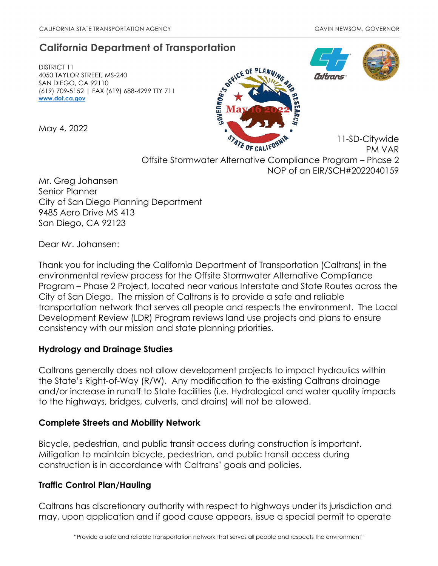# **California Department of Transportation**

DISTRICT 11 4050 TAYLOR STREET, MS-240 SAN DIEGO, CA 92110 (619) 709-5152 | FAX (619) 688-4299 TTY 711 **[www.dot.ca.gov](http://www.dot.ca.gov/)**

May 4, 2022





11-SD-Citywide

PM VAR Offsite Stormwater Alternative Compliance Program – Phase 2 NOP of an EIR/SCH#2022040159

Mr. Greg Johansen Senior Planner City of San Diego Planning Department 9485 Aero Drive MS 413 San Diego, CA 92123

Dear Mr. Johansen:

Thank you for including the California Department of Transportation (Caltrans) in the environmental review process for the Offsite Stormwater Alternative Compliance Program – Phase 2 Project, located near various Interstate and State Routes across the City of San Diego. The mission of Caltrans is to provide a safe and reliable transportation network that serves all people and respects the environment. The Local Development Review (LDR) Program reviews land use projects and plans to ensure consistency with our mission and state planning priorities.

## **Hydrology and Drainage Studies**

Caltrans generally does not allow development projects to impact hydraulics within the State's Right-of-Way (R/W). Any modification to the existing Caltrans drainage and/or increase in runoff to State facilities (i.e. Hydrological and water quality impacts to the highways, bridges, culverts, and drains) will not be allowed.

## **Complete Streets and Mobility Network**

Bicycle, pedestrian, and public transit access during construction is important. Mitigation to maintain bicycle, pedestrian, and public transit access during construction is in accordance with Caltrans' goals and policies.

# **Traffic Control Plan/Hauling**

Caltrans has discretionary authority with respect to highways under its jurisdiction and may, upon application and if good cause appears, issue a special permit to operate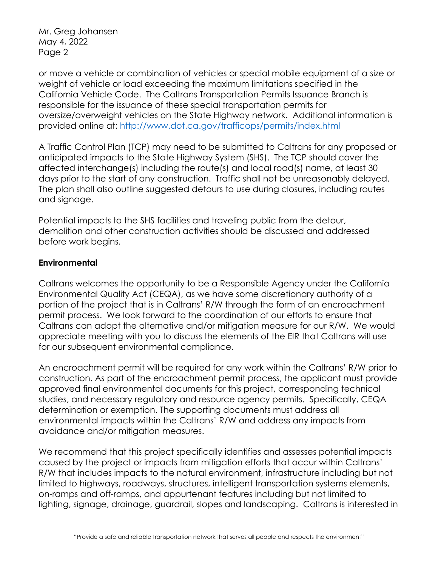Mr. Greg Johansen May 4, 2022 Page 2

or move a vehicle or combination of vehicles or special mobile equipment of a size or weight of vehicle or load exceeding the maximum limitations specified in the California Vehicle Code. The Caltrans Transportation Permits Issuance Branch is responsible for the issuance of these special transportation permits for oversize/overweight vehicles on the State Highway network. Additional information is provided online at:<http://www.dot.ca.gov/trafficops/permits/index.html>

A Traffic Control Plan (TCP) may need to be submitted to Caltrans for any proposed or anticipated impacts to the State Highway System (SHS). The TCP should cover the affected interchange(s) including the route(s) and local road(s) name, at least 30 days prior to the start of any construction. Traffic shall not be unreasonably delayed. The plan shall also outline suggested detours to use during closures, including routes and signage.

Potential impacts to the SHS facilities and traveling public from the detour, demolition and other construction activities should be discussed and addressed before work begins.

## **Environmental**

Caltrans welcomes the opportunity to be a Responsible Agency under the California Environmental Quality Act (CEQA), as we have some discretionary authority of a portion of the project that is in Caltrans' R/W through the form of an encroachment permit process. We look forward to the coordination of our efforts to ensure that Caltrans can adopt the alternative and/or mitigation measure for our R/W. We would appreciate meeting with you to discuss the elements of the EIR that Caltrans will use for our subsequent environmental compliance.

An encroachment permit will be required for any work within the Caltrans' R/W prior to construction. As part of the encroachment permit process, the applicant must provide approved final environmental documents for this project, corresponding technical studies, and necessary regulatory and resource agency permits. Specifically, CEQA determination or exemption. The supporting documents must address all environmental impacts within the Caltrans' R/W and address any impacts from avoidance and/or mitigation measures.

We recommend that this project specifically identifies and assesses potential impacts caused by the project or impacts from mitigation efforts that occur within Caltrans' R/W that includes impacts to the natural environment, infrastructure including but not limited to highways, roadways, structures, intelligent transportation systems elements, on-ramps and off-ramps, and appurtenant features including but not limited to lighting, signage, drainage, guardrail, slopes and landscaping. Caltrans is interested in